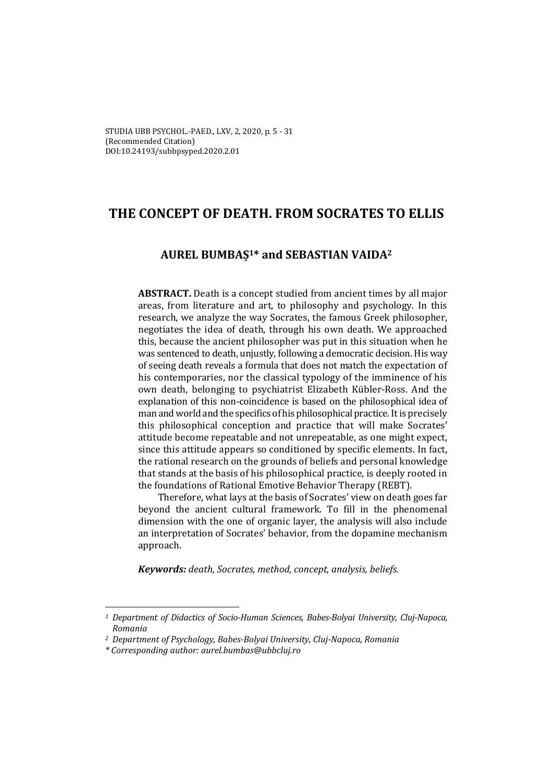# **THE CONCEPT OF DEATH. FROM SOCRATES TO ELLIS**

## **AUREL BUMBAȘ1\* and SEBASTIAN VAIDA2**

**ABSTRACT.** Death is a concept studied from ancient times by all major areas, from literature and art, to philosophy and psychology. In this research, we analyze the way Socrates, the famous Greek philosopher, negotiates the idea of death, through his own death. We approached this, because the ancient philosopher was put in this situation when he was sentenced to death, unjustly, following a democratic decision. His way of seeing death reveals a formula that does not match the expectation of his contemporaries, nor the classical typology of the imminence of his own death, belonging to psychiatrist Elizabeth Kübler-Ross. And the explanation of this non-coincidence is based on the philosophical idea of man and world and the specifics of his philosophical practice. It is precisely this philosophical conception and practice that will make Socrates' attitude become repeatable and not unrepeatable, as one might expect, since this attitude appears so conditioned by specific elements. In fact, the rational research on the grounds of beliefs and personal knowledge that stands at the basis of his philosophical practice, is deeply rooted in the foundations of Rational Emotive Behavior Therapy (REBT).

Therefore, what lays at the basis of Socrates' view on death goes far beyond the ancient cultural framework. To fill in the phenomenal dimension with the one of organic layer, the analysis will also include an interpretation of Socrates' behavior, from the dopamine mechanism approach.

*Keywords: death, Socrates, method, concept, analysis, beliefs.* 

 $\overline{\phantom{a}}$ 

*<sup>1</sup> Department of Didactics of Socio-Human Sciences, Babes-Bolyai University, Cluj-Napoca, Romania* 

*<sup>2</sup> Department of Psychology, Babes-Bolyai University, Cluj-Napoca, Romania* 

*<sup>\*</sup> Corresponding author: aurel.bumbas@ubbcluj.ro*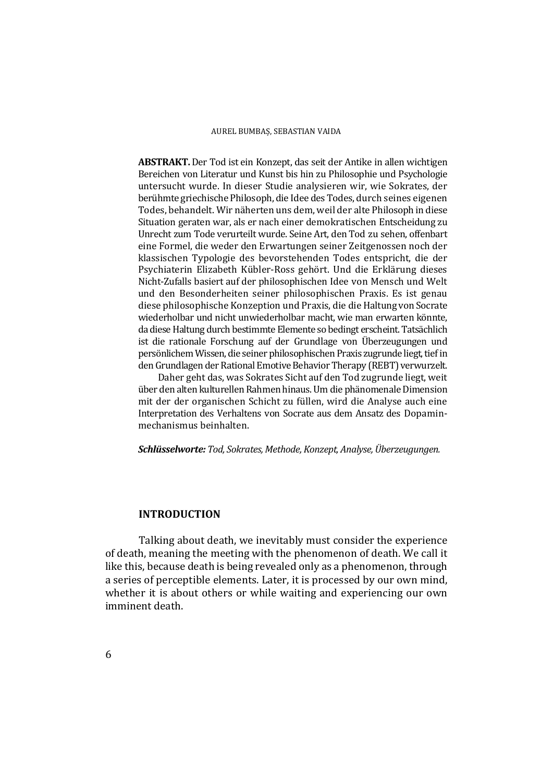**ABSTRAKT.** Der Tod ist ein Konzept, das seit der Antike in allen wichtigen Bereichen von Literatur und Kunst bis hin zu Philosophie und Psychologie untersucht wurde. In dieser Studie analysieren wir, wie Sokrates, der berühmte griechische Philosoph, die Idee des Todes, durch seines eigenen Todes, behandelt. Wir näherten uns dem, weil der alte Philosoph in diese Situation geraten war, als er nach einer demokratischen Entscheidung zu Unrecht zum Tode verurteilt wurde. Seine Art, den Tod zu sehen, offenbart eine Formel, die weder den Erwartungen seiner Zeitgenossen noch der klassischen Typologie des bevorstehenden Todes entspricht, die der Psychiaterin Elizabeth Kübler-Ross gehört. Und die Erklärung dieses Nicht-Zufalls basiert auf der philosophischen Idee von Mensch und Welt und den Besonderheiten seiner philosophischen Praxis. Es ist genau diese philosophische Konzeption und Praxis, die die Haltung von Socrate wiederholbar und nicht unwiederholbar macht, wie man erwarten könnte, da diese Haltung durch bestimmte Elemente so bedingt erscheint. Tatsächlich ist die rationale Forschung auf der Grundlage von Überzeugungen und persönlichem Wissen, die seiner philosophischen Praxis zugrunde liegt, tief in den Grundlagen der Rational Emotive Behavior Therapy (REBT) verwurzelt.

Daher geht das, was Sokrates Sicht auf den Tod zugrunde liegt, weit über den alten kulturellen Rahmen hinaus. Um die phänomenale Dimension mit der der organischen Schicht zu füllen, wird die Analyse auch eine Interpretation des Verhaltens von Socrate aus dem Ansatz des Dopaminmechanismus beinhalten.

*Schlüsselworte: Tod, Sokrates, Methode, Konzept, Analyse, Überzeugungen.* 

### **INTRODUCTION**

Talking about death, we inevitably must consider the experience of death, meaning the meeting with the phenomenon of death. We call it like this, because death is being revealed only as a phenomenon, through a series of perceptible elements. Later, it is processed by our own mind, whether it is about others or while waiting and experiencing our own imminent death.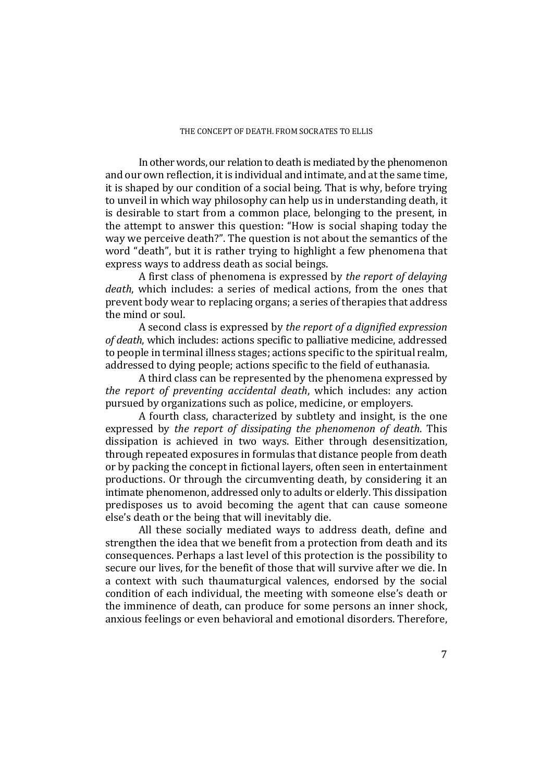In other words, our relation to death is mediated by the phenomenon and our own reflection, it is individual and intimate, and at the same time, it is shaped by our condition of a social being. That is why, before trying to unveil in which way philosophy can help us in understanding death, it is desirable to start from a common place, belonging to the present, in the attempt to answer this question: "How is social shaping today the way we perceive death?". The question is not about the semantics of the word "death", but it is rather trying to highlight a few phenomena that express ways to address death as social beings.

 A first class of phenomena is expressed by *the report of delaying death*, which includes: a series of medical actions, from the ones that prevent body wear to replacing organs; a series of therapies that address the mind or soul.

 A second class is expressed by *the report of a dignified expression of death*, which includes: actions specific to palliative medicine, addressed to people in terminal illness stages; actions specific to the spiritual realm, addressed to dying people; actions specific to the field of euthanasia.

 A third class can be represented by the phenomena expressed by *the report of preventing accidental death*, which includes: any action pursued by organizations such as police, medicine, or employers.

 A fourth class, characterized by subtlety and insight, is the one expressed by *the report of dissipating the phenomenon of death*. This dissipation is achieved in two ways. Either through desensitization, through repeated exposures in formulas that distance people from death or by packing the concept in fictional layers, often seen in entertainment productions. Or through the circumventing death, by considering it an intimate phenomenon, addressed only to adults or elderly. This dissipation predisposes us to avoid becoming the agent that can cause someone else's death or the being that will inevitably die.

 All these socially mediated ways to address death, define and strengthen the idea that we benefit from a protection from death and its consequences. Perhaps a last level of this protection is the possibility to secure our lives, for the benefit of those that will survive after we die. In a context with such thaumaturgical valences, endorsed by the social condition of each individual, the meeting with someone else's death or the imminence of death, can produce for some persons an inner shock, anxious feelings or even behavioral and emotional disorders. Therefore,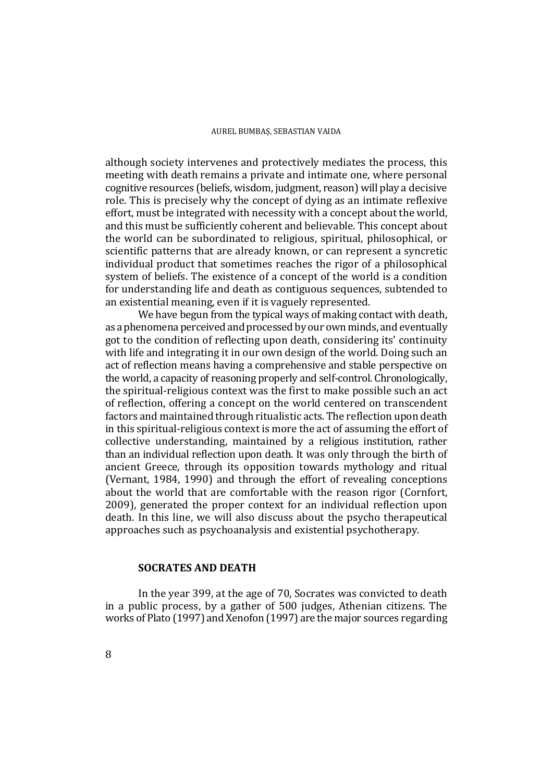although society intervenes and protectively mediates the process, this meeting with death remains a private and intimate one, where personal cognitive resources (beliefs, wisdom, judgment, reason) will play a decisive role. This is precisely why the concept of dying as an intimate reflexive effort, must be integrated with necessity with a concept about the world, and this must be sufficiently coherent and believable. This concept about the world can be subordinated to religious, spiritual, philosophical, or scientific patterns that are already known, or can represent a syncretic individual product that sometimes reaches the rigor of a philosophical system of beliefs. The existence of a concept of the world is a condition for understanding life and death as contiguous sequences, subtended to an existential meaning, even if it is vaguely represented.

We have begun from the typical ways of making contact with death, as a phenomena perceived and processed by our own minds, and eventually got to the condition of reflecting upon death, considering its' continuity with life and integrating it in our own design of the world. Doing such an act of reflection means having a comprehensive and stable perspective on the world, a capacity of reasoning properly and self-control. Chronologically, the spiritual-religious context was the first to make possible such an act of reflection, offering a concept on the world centered on transcendent factors and maintained through ritualistic acts. The reflection upon death in this spiritual-religious context is more the act of assuming the effort of collective understanding, maintained by a religious institution, rather than an individual reflection upon death. It was only through the birth of ancient Greece, through its opposition towards mythology and ritual (Vernant, 1984, 1990) and through the effort of revealing conceptions about the world that are comfortable with the reason rigor (Cornfort, 2009), generated the proper context for an individual reflection upon death. In this line, we will also discuss about the psycho therapeutical approaches such as psychoanalysis and existential psychotherapy.

## **SOCRATES AND DEATH**

In the year 399, at the age of 70, Socrates was convicted to death in a public process, by a gather of 500 judges, Athenian citizens. The works of Plato (1997) and Xenofon (1997) are the major sources regarding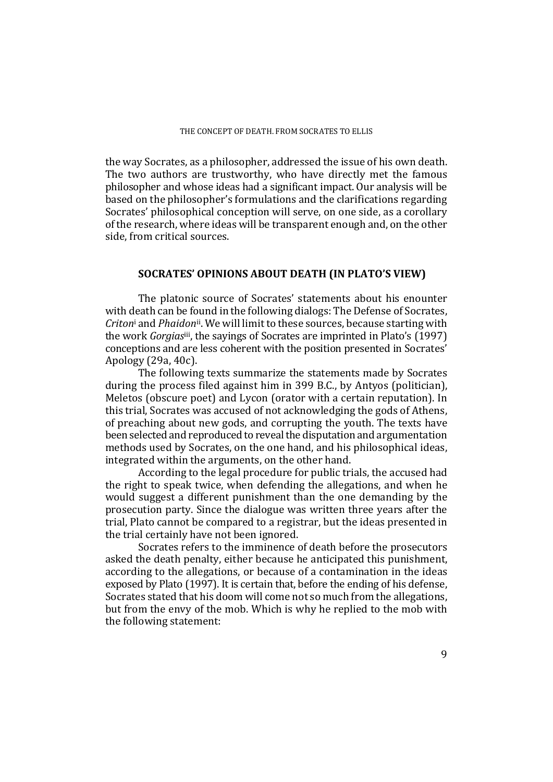the way Socrates, as a philosopher, addressed the issue of his own death. The two authors are trustworthy, who have directly met the famous philosopher and whose ideas had a significant impact. Our analysis will be based on the philosopher's formulations and the clarifications regarding Socrates' philosophical conception will serve, on one side, as a corollary of the research, where ideas will be transparent enough and, on the other side, from critical sources.

## **SOCRATES' OPINIONS ABOUT DEATH (IN PLATO'S VIEW)**

The platonic source of Socrates' statements about his enounter with death can be found in the following dialogs: The Defense of Socrates, *Criton*<sup>i</sup> and *Phaidon*ii. We will limit to these sources, because starting with the work *Gorgias*iii, the sayings of Socrates are imprinted in Plato's (1997) conceptions and are less coherent with the position presented in Socrates' Apology (29a, 40c).

The following texts summarize the statements made by Socrates during the process filed against him in 399 B.C., by Antyos (politician), Meletos (obscure poet) and Lycon (orator with a certain reputation). In this trial, Socrates was accused of not acknowledging the gods of Athens, of preaching about new gods, and corrupting the youth. The texts have been selected and reproduced to reveal the disputation and argumentation methods used by Socrates, on the one hand, and his philosophical ideas, integrated within the arguments, on the other hand.

According to the legal procedure for public trials, the accused had the right to speak twice, when defending the allegations, and when he would suggest a different punishment than the one demanding by the prosecution party. Since the dialogue was written three years after the trial, Plato cannot be compared to a registrar, but the ideas presented in the trial certainly have not been ignored.

Socrates refers to the imminence of death before the prosecutors asked the death penalty, either because he anticipated this punishment, according to the allegations, or because of a contamination in the ideas exposed by Plato (1997). It is certain that, before the ending of his defense, Socrates stated that his doom will come not so much from the allegations, but from the envy of the mob. Which is why he replied to the mob with the following statement: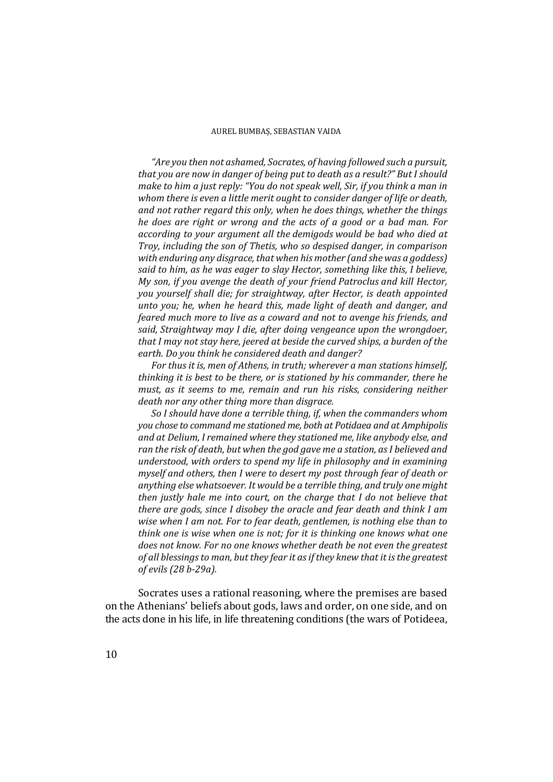*"Are you then not ashamed, Socrates, of having followed such a pursuit, that you are now in danger of being put to death as a result?" But I should make to him a just reply: "You do not speak well, Sir, if you think a man in whom there is even a little merit ought to consider danger of life or death, and not rather regard this only, when he does things, whether the things he does are right or wrong and the acts of a good or a bad man. For according to your argument all the demigods would be bad who died at Troy, including the son of Thetis, who so despised danger, in comparison with enduring any disgrace, that when his mother (and she was a goddess) said to him, as he was eager to slay Hector, something like this, I believe, My son, if you avenge the death of your friend Patroclus and kill Hector, you yourself shall die; for straightway, after Hector, is death appointed unto you; he, when he heard this, made light of death and danger, and feared much more to live as a coward and not to avenge his friends, and said, Straightway may I die, after doing vengeance upon the wrongdoer, that I may not stay here, jeered at beside the curved ships, a burden of the earth. Do you think he considered death and danger?* 

*For thus it is, men of Athens, in truth; wherever a man stations himself, thinking it is best to be there, or is stationed by his commander, there he must, as it seems to me, remain and run his risks, considering neither death nor any other thing more than disgrace.* 

*So I should have done a terrible thing, if, when the commanders whom you chose to command me stationed me, both at Potidaea and at Amphipolis and at Delium, I remained where they stationed me, like anybody else, and ran the risk of death, but when the god gave me a station, as I believed and understood, with orders to spend my life in philosophy and in examining myself and others, then I were to desert my post through fear of death or anything else whatsoever. It would be a terrible thing, and truly one might then justly hale me into court, on the charge that I do not believe that there are gods, since I disobey the oracle and fear death and think I am wise when I am not. For to fear death, gentlemen, is nothing else than to think one is wise when one is not; for it is thinking one knows what one does not know. For no one knows whether death be not even the greatest of all blessings to man, but they fear it as if they knew that it is the greatest of evils (28 b-29a).* 

Socrates uses a rational reasoning, where the premises are based on the Athenians' beliefs about gods, laws and order, on one side, and on the acts done in his life, in life threatening conditions (the wars of Potideea,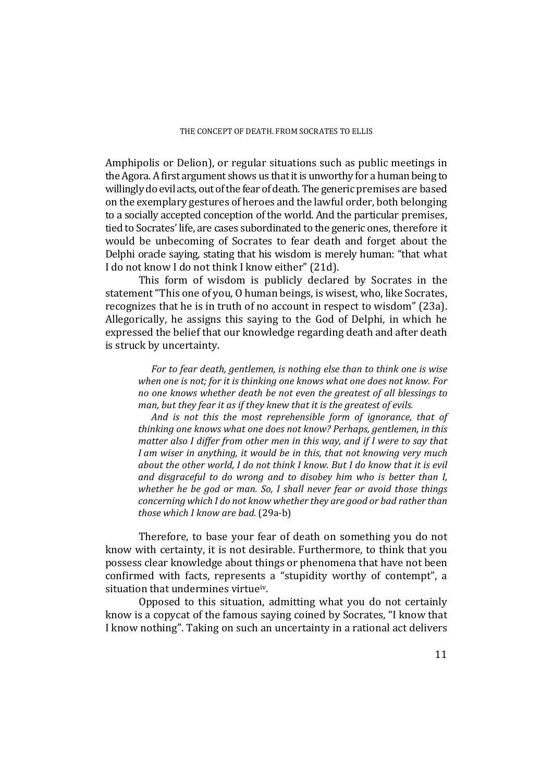Amphipolis or Delion), or regular situations such as public meetings in the Agora. A first argument shows us that it is unworthy for a human being to willingly do evil acts, out of the fear of death. The generic premises are based on the exemplary gestures of heroes and the lawful order, both belonging to a socially accepted conception of the world. And the particular premises, tied to Socrates' life, are cases subordinated to the generic ones, therefore it would be unbecoming of Socrates to fear death and forget about the Delphi oracle saying, stating that his wisdom is merely human: "that what I do not know I do not think I know either" (21d).

 This form of wisdom is publicly declared by Socrates in the statement "This one of you, O human beings, is wisest, who, like Socrates, recognizes that he is in truth of no account in respect to wisdom" (23a). Allegorically, he assigns this saying to the God of Delphi, in which he expressed the belief that our knowledge regarding death and after death is struck by uncertainty.

*For to fear death, gentlemen, is nothing else than to think one is wise when one is not; for it is thinking one knows what one does not know. For no one knows whether death be not even the greatest of all blessings to man, but they fear it as if they knew that it is the greatest of evils.* 

*And is not this the most reprehensible form of ignorance, that of thinking one knows what one does not know? Perhaps, gentlemen, in this matter also I differ from other men in this way, and if I were to say that I am wiser in anything, it would be in this, that not knowing very much about the other world, I do not think I know. But I do know that it is evil and disgraceful to do wrong and to disobey him who is better than I, whether he be god or man. So, I shall never fear or avoid those things concerning which I do not know whether they are good or bad rather than those which I know are bad.* (29a-b)

 Therefore, to base your fear of death on something you do not know with certainty, it is not desirable. Furthermore, to think that you possess clear knowledge about things or phenomena that have not been confirmed with facts, represents a "stupidity worthy of contempt", a situation that undermines virtue<sup>iv</sup>.

 Opposed to this situation, admitting what you do not certainly know is a copycat of the famous saying coined by Socrates, "I know that I know nothing". Taking on such an uncertainty in a rational act delivers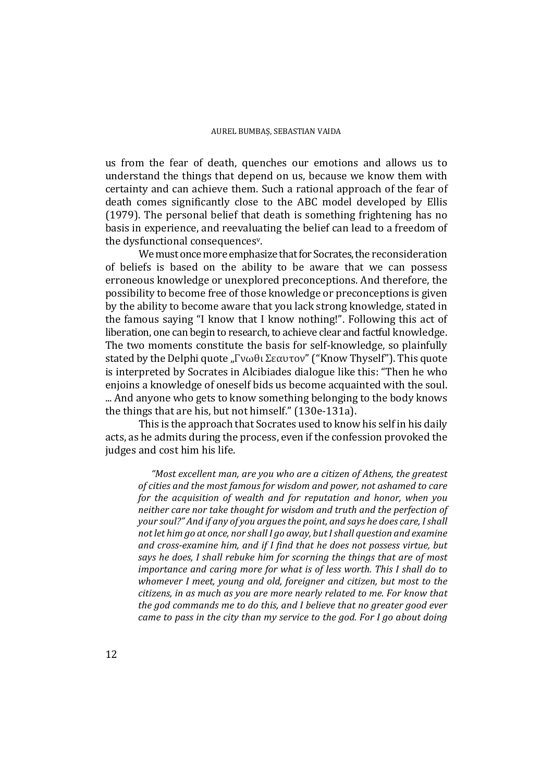us from the fear of death, quenches our emotions and allows us to understand the things that depend on us, because we know them with certainty and can achieve them. Such a rational approach of the fear of death comes significantly close to the ABC model developed by Ellis (1979). The personal belief that death is something frightening has no basis in experience, and reevaluating the belief can lead to a freedom of the dysfunctional consequencesv.

 We must once more emphasize that for Socrates, the reconsideration of beliefs is based on the ability to be aware that we can possess erroneous knowledge or unexplored preconceptions. And therefore, the possibility to become free of those knowledge or preconceptions is given by the ability to become aware that you lack strong knowledge, stated in the famous saying "I know that I know nothing!". Following this act of liberation, one can begin to research, to achieve clear and factful knowledge. The two moments constitute the basis for self-knowledge, so plainfully stated by the Delphi quote "Γνωθι Σεαυτον" ("Know Thyself"). This quote is interpreted by Socrates in Alcibiades dialogue like this: "Then he who enjoins a knowledge of oneself bids us become acquainted with the soul. ... And anyone who gets to know something belonging to the body knows the things that are his, but not himself." (130e-131a).

 This is the approach that Socrates used to know his self in his daily acts, as he admits during the process, even if the confession provoked the judges and cost him his life.

*"Most excellent man, are you who are a citizen of Athens, the greatest of cities and the most famous for wisdom and power, not ashamed to care for the acquisition of wealth and for reputation and honor, when you neither care nor take thought for wisdom and truth and the perfection of your soul?" And if any of you argues the point, and says he does care, I shall not let him go at once, nor shall I go away, but I shall question and examine and cross-examine him, and if I find that he does not possess virtue, but says he does, I shall rebuke him for scorning the things that are of most importance and caring more for what is of less worth. This I shall do to whomever I meet, young and old, foreigner and citizen, but most to the citizens, in as much as you are more nearly related to me. For know that the god commands me to do this, and I believe that no greater good ever came to pass in the city than my service to the god. For I go about doing*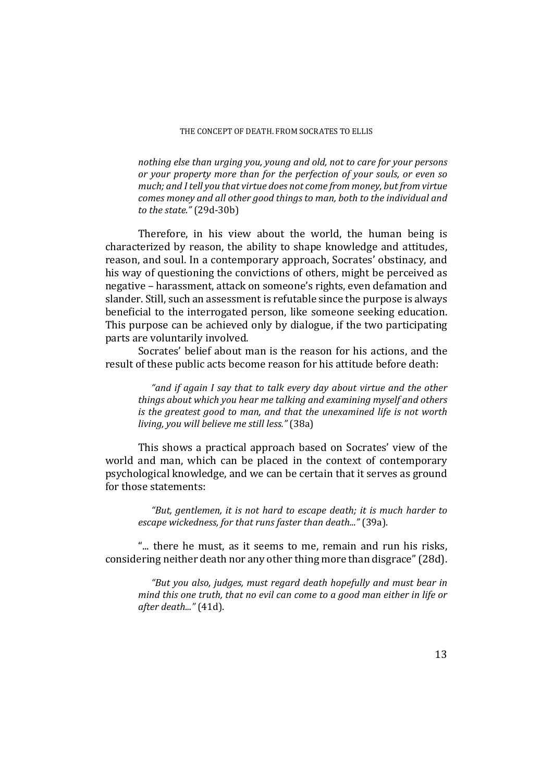*nothing else than urging you, young and old, not to care for your persons or your property more than for the perfection of your souls, or even so much; and I tell you that virtue does not come from money, but from virtue comes money and all other good things to man, both to the individual and to the state."* (29d-30b)

Therefore, in his view about the world, the human being is characterized by reason, the ability to shape knowledge and attitudes, reason, and soul. In a contemporary approach, Socrates' obstinacy, and his way of questioning the convictions of others, might be perceived as negative – harassment, attack on someone's rights, even defamation and slander. Still, such an assessment is refutable since the purpose is always beneficial to the interrogated person, like someone seeking education. This purpose can be achieved only by dialogue, if the two participating parts are voluntarily involved.

Socrates' belief about man is the reason for his actions, and the result of these public acts become reason for his attitude before death:

*"and if again I say that to talk every day about virtue and the other things about which you hear me talking and examining myself and others is the greatest good to man, and that the unexamined life is not worth living, you will believe me still less."* (38a)

This shows a practical approach based on Socrates' view of the world and man, which can be placed in the context of contemporary psychological knowledge, and we can be certain that it serves as ground for those statements:

*"But, gentlemen, it is not hard to escape death; it is much harder to escape wickedness, for that runs faster than death..."* (39a).

"... there he must, as it seems to me, remain and run his risks, considering neither death nor any other thing more than disgrace" (28d).

*"But you also, judges, must regard death hopefully and must bear in mind this one truth, that no evil can come to a good man either in life or after death..."* (41d).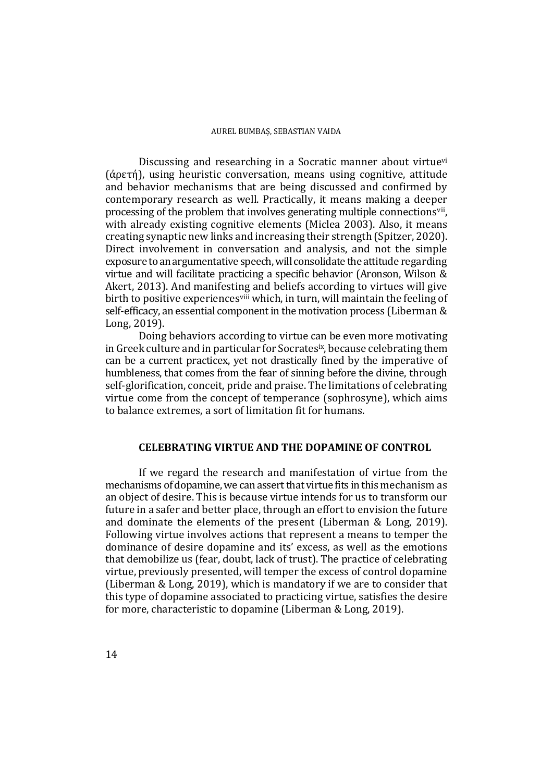Discussing and researching in a Socratic manner about virtue<sup>vi</sup> (ἀρετή), using heuristic conversation, means using cognitive, attitude and behavior mechanisms that are being discussed and confirmed by contemporary research as well. Practically, it means making a deeper processing of the problem that involves generating multiple connectionsvii, with already existing cognitive elements (Miclea 2003). Also, it means creating synaptic new links and increasing their strength (Spitzer, 2020). Direct involvement in conversation and analysis, and not the simple exposure to an argumentative speech, will consolidate the attitude regarding virtue and will facilitate practicing a specific behavior (Aronson, Wilson & Akert, 2013). And manifesting and beliefs according to virtues will give birth to positive experiencesviii which, in turn, will maintain the feeling of self-efficacy, an essential component in the motivation process (Liberman & Long, 2019).

 Doing behaviors according to virtue can be even more motivating in Greek culture and in particular for Socratesix, because celebrating them can be a current practicex, yet not drastically fined by the imperative of humbleness, that comes from the fear of sinning before the divine, through self-glorification, conceit, pride and praise. The limitations of celebrating virtue come from the concept of temperance (sophrosyne), which aims to balance extremes, a sort of limitation fit for humans.

## **CELEBRATING VIRTUE AND THE DOPAMINE OF CONTROL**

 If we regard the research and manifestation of virtue from the mechanisms of dopamine, we can assert that virtue fits in this mechanism as an object of desire. This is because virtue intends for us to transform our future in a safer and better place, through an effort to envision the future and dominate the elements of the present (Liberman & Long, 2019). Following virtue involves actions that represent a means to temper the dominance of desire dopamine and its' excess, as well as the emotions that demobilize us (fear, doubt, lack of trust). The practice of celebrating virtue, previously presented, will temper the excess of control dopamine (Liberman & Long, 2019), which is mandatory if we are to consider that this type of dopamine associated to practicing virtue, satisfies the desire for more, characteristic to dopamine (Liberman & Long, 2019).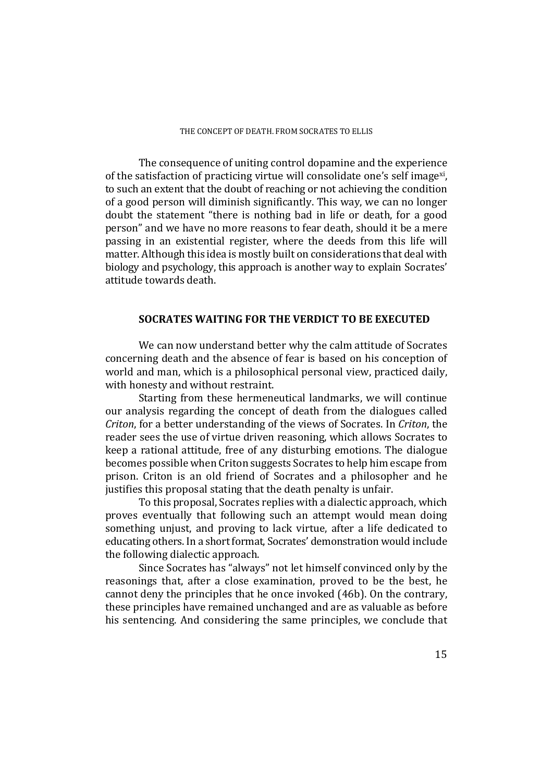The consequence of uniting control dopamine and the experience of the satisfaction of practicing virtue will consolidate one's self image<sup>xi</sup>, to such an extent that the doubt of reaching or not achieving the condition of a good person will diminish significantly. This way, we can no longer doubt the statement "there is nothing bad in life or death, for a good person" and we have no more reasons to fear death, should it be a mere passing in an existential register, where the deeds from this life will matter. Although this idea is mostly built on considerations that deal with biology and psychology, this approach is another way to explain Socrates' attitude towards death.

## **SOCRATES WAITING FOR THE VERDICT TO BE EXECUTED**

 We can now understand better why the calm attitude of Socrates concerning death and the absence of fear is based on his conception of world and man, which is a philosophical personal view, practiced daily, with honesty and without restraint.

 Starting from these hermeneutical landmarks, we will continue our analysis regarding the concept of death from the dialogues called *Criton*, for a better understanding of the views of Socrates. In *Criton*, the reader sees the use of virtue driven reasoning, which allows Socrates to keep a rational attitude, free of any disturbing emotions. The dialogue becomes possible when Criton suggests Socrates to help him escape from prison. Criton is an old friend of Socrates and a philosopher and he justifies this proposal stating that the death penalty is unfair.

 To this proposal, Socrates replies with a dialectic approach, which proves eventually that following such an attempt would mean doing something unjust, and proving to lack virtue, after a life dedicated to educating others. In a short format, Socrates' demonstration would include the following dialectic approach.

 Since Socrates has "always" not let himself convinced only by the reasonings that, after a close examination, proved to be the best, he cannot deny the principles that he once invoked (46b). On the contrary, these principles have remained unchanged and are as valuable as before his sentencing. And considering the same principles, we conclude that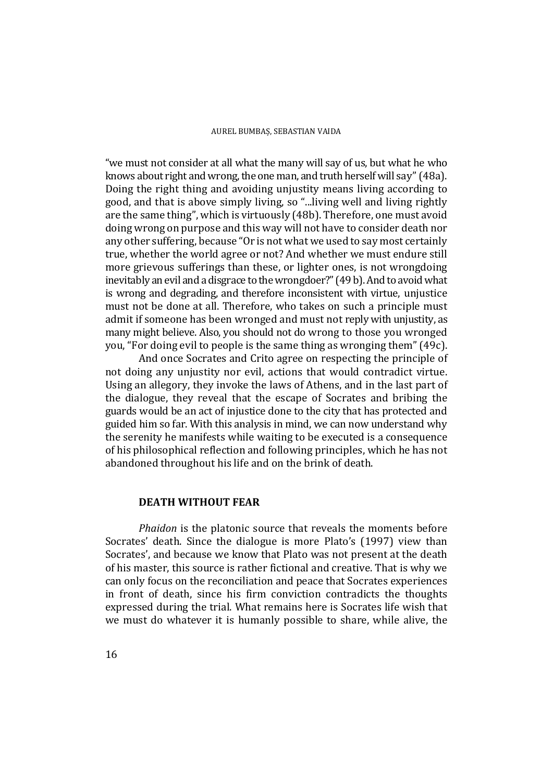"we must not consider at all what the many will say of us, but what he who knows about right and wrong, the one man, and truth herself will say" (48a). Doing the right thing and avoiding unjustity means living according to good, and that is above simply living, so "...living well and living rightly are the same thing", which is virtuously (48b). Therefore, one must avoid doing wrong on purpose and this way will not have to consider death nor any other suffering, because "Or is not what we used to say most certainly true, whether the world agree or not? And whether we must endure still more grievous sufferings than these, or lighter ones, is not wrongdoing inevitably an evil and a disgrace to the wrongdoer?" (49 b). And to avoid what is wrong and degrading, and therefore inconsistent with virtue, unjustice must not be done at all. Therefore, who takes on such a principle must admit if someone has been wronged and must not reply with unjustity, as many might believe. Also, you should not do wrong to those you wronged you, "For doing evil to people is the same thing as wronging them" (49c).

 And once Socrates and Crito agree on respecting the principle of not doing any unjustity nor evil, actions that would contradict virtue. Using an allegory, they invoke the laws of Athens, and in the last part of the dialogue, they reveal that the escape of Socrates and bribing the guards would be an act of injustice done to the city that has protected and guided him so far. With this analysis in mind, we can now understand why the serenity he manifests while waiting to be executed is a consequence of his philosophical reflection and following principles, which he has not abandoned throughout his life and on the brink of death.

## **DEATH WITHOUT FEAR**

*Phaidon* is the platonic source that reveals the moments before Socrates' death. Since the dialogue is more Plato's (1997) view than Socrates', and because we know that Plato was not present at the death of his master, this source is rather fictional and creative. That is why we can only focus on the reconciliation and peace that Socrates experiences in front of death, since his firm conviction contradicts the thoughts expressed during the trial. What remains here is Socrates life wish that we must do whatever it is humanly possible to share, while alive, the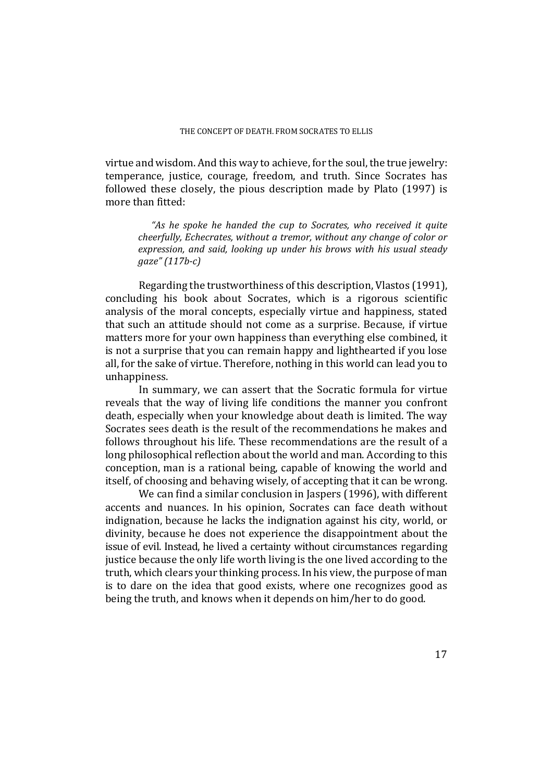virtue and wisdom. And this way to achieve, for the soul, the true jewelry: temperance, justice, courage, freedom, and truth. Since Socrates has followed these closely, the pious description made by Plato (1997) is more than fitted:

*"As he spoke he handed the cup to Socrates, who received it quite cheerfully, Echecrates, without a tremor, without any change of color or expression, and said, looking up under his brows with his usual steady gaze" (117b-c)* 

Regarding the trustworthiness of this description, Vlastos (1991), concluding his book about Socrates, which is a rigorous scientific analysis of the moral concepts, especially virtue and happiness, stated that such an attitude should not come as a surprise. Because, if virtue matters more for your own happiness than everything else combined, it is not a surprise that you can remain happy and lighthearted if you lose all, for the sake of virtue. Therefore, nothing in this world can lead you to unhappiness.

 In summary, we can assert that the Socratic formula for virtue reveals that the way of living life conditions the manner you confront death, especially when your knowledge about death is limited. The way Socrates sees death is the result of the recommendations he makes and follows throughout his life. These recommendations are the result of a long philosophical reflection about the world and man. According to this conception, man is a rational being, capable of knowing the world and itself, of choosing and behaving wisely, of accepting that it can be wrong.

 We can find a similar conclusion in Jaspers (1996), with different accents and nuances. In his opinion, Socrates can face death without indignation, because he lacks the indignation against his city, world, or divinity, because he does not experience the disappointment about the issue of evil. Instead, he lived a certainty without circumstances regarding justice because the only life worth living is the one lived according to the truth, which clears your thinking process. In his view, the purpose of man is to dare on the idea that good exists, where one recognizes good as being the truth, and knows when it depends on him/her to do good.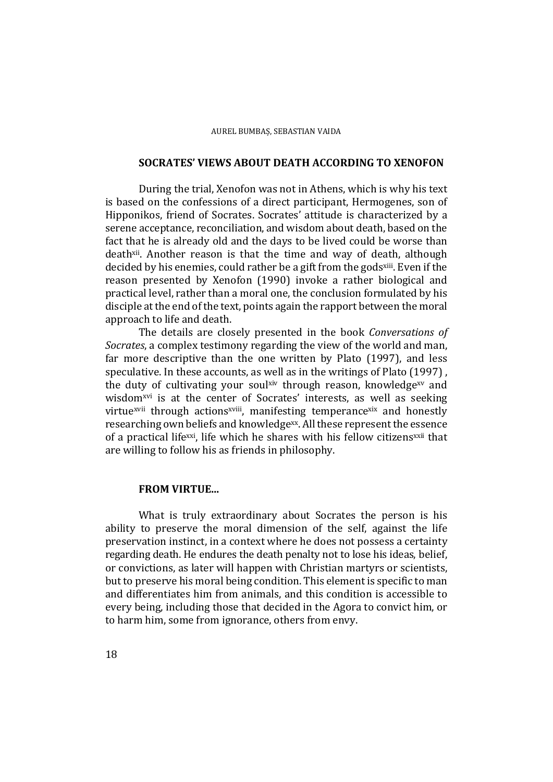## **SOCRATES' VIEWS ABOUT DEATH ACCORDING TO XENOFON**

During the trial, Xenofon was not in Athens, which is why his text is based on the confessions of a direct participant, Hermogenes, son of Hipponikos, friend of Socrates. Socrates' attitude is characterized by a serene acceptance, reconciliation, and wisdom about death, based on the fact that he is already old and the days to be lived could be worse than death<sup>xii</sup>. Another reason is that the time and way of death, although decided by his enemies, could rather be a gift from the gods<sup>xiii</sup>. Even if the reason presented by Xenofon (1990) invoke a rather biological and practical level, rather than a moral one, the conclusion formulated by his disciple at the end of the text, points again the rapport between the moral approach to life and death.

 The details are closely presented in the book *Conversations of Socrates*, a complex testimony regarding the view of the world and man, far more descriptive than the one written by Plato (1997), and less speculative. In these accounts, as well as in the writings of Plato (1997) , the duty of cultivating your soulxiv through reason, knowledgexy and wisdom<sup>xvi</sup> is at the center of Socrates' interests, as well as seeking virtue<sup>xvii</sup> through actions<sup>xviii</sup>, manifesting temperance<sup>xix</sup> and honestly researching own beliefs and knowledgexx. All these represent the essence of a practical lifexxi, life which he shares with his fellow citizens<sup>xxii</sup> that are willing to follow his as friends in philosophy.

#### **FROM VIRTUE...**

What is truly extraordinary about Socrates the person is his ability to preserve the moral dimension of the self, against the life preservation instinct, in a context where he does not possess a certainty regarding death. He endures the death penalty not to lose his ideas, belief, or convictions, as later will happen with Christian martyrs or scientists, but to preserve his moral being condition. This element is specific to man and differentiates him from animals, and this condition is accessible to every being, including those that decided in the Agora to convict him, or to harm him, some from ignorance, others from envy.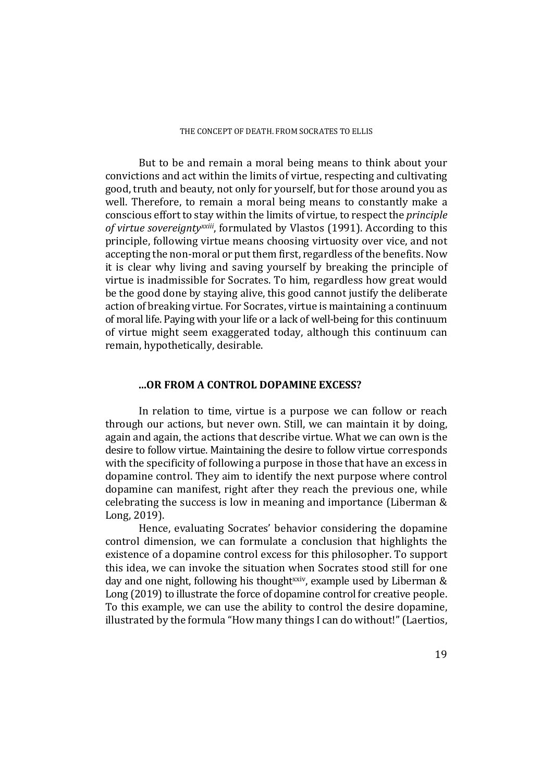But to be and remain a moral being means to think about your convictions and act within the limits of virtue, respecting and cultivating good, truth and beauty, not only for yourself, but for those around you as well. Therefore, to remain a moral being means to constantly make a conscious effort to stay within the limits of virtue, to respect the *principle of virtue sovereigntyxxiii*, formulated by Vlastos (1991). According to this principle, following virtue means choosing virtuosity over vice, and not accepting the non-moral or put them first, regardless of the benefits. Now it is clear why living and saving yourself by breaking the principle of virtue is inadmissible for Socrates. To him, regardless how great would be the good done by staying alive, this good cannot justify the deliberate action of breaking virtue. For Socrates, virtue is maintaining a continuum of moral life. Paying with your life or a lack of well-being for this continuum of virtue might seem exaggerated today, although this continuum can remain, hypothetically, desirable.

## **...OR FROM A CONTROL DOPAMINE EXCESS?**

In relation to time, virtue is a purpose we can follow or reach through our actions, but never own. Still, we can maintain it by doing, again and again, the actions that describe virtue. What we can own is the desire to follow virtue. Maintaining the desire to follow virtue corresponds with the specificity of following a purpose in those that have an excess in dopamine control. They aim to identify the next purpose where control dopamine can manifest, right after they reach the previous one, while celebrating the success is low in meaning and importance (Liberman & Long, 2019).

 Hence, evaluating Socrates' behavior considering the dopamine control dimension, we can formulate a conclusion that highlights the existence of a dopamine control excess for this philosopher. To support this idea, we can invoke the situation when Socrates stood still for one day and one night, following his thought<sup>xxiv</sup>, example used by Liberman  $\&$ Long (2019) to illustrate the force of dopamine control for creative people. To this example, we can use the ability to control the desire dopamine, illustrated by the formula "How many things I can do without!" (Laertios,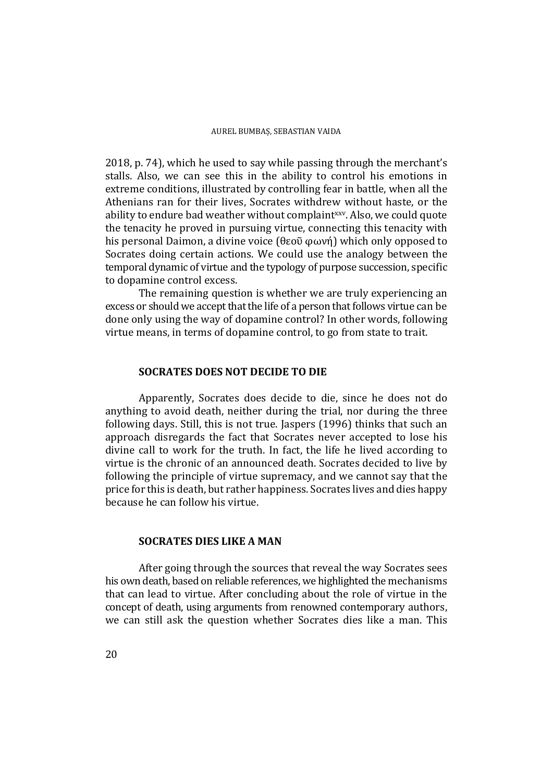2018, p. 74), which he used to say while passing through the merchant's stalls. Also, we can see this in the ability to control his emotions in extreme conditions, illustrated by controlling fear in battle, when all the Athenians ran for their lives, Socrates withdrew without haste, or the ability to endure bad weather without complaintxxv. Also, we could quote the tenacity he proved in pursuing virtue, connecting this tenacity with his personal Daimon, a divine voice (θεοῦ φωνή) which only opposed to Socrates doing certain actions. We could use the analogy between the temporal dynamic of virtue and the typology of purpose succession, specific to dopamine control excess.

 The remaining question is whether we are truly experiencing an excess or should we accept that the life of a person that follows virtue can be done only using the way of dopamine control? In other words, following virtue means, in terms of dopamine control, to go from state to trait.

## **SOCRATES DOES NOT DECIDE TO DIE**

Apparently, Socrates does decide to die, since he does not do anything to avoid death, neither during the trial, nor during the three following days. Still, this is not true. Jaspers (1996) thinks that such an approach disregards the fact that Socrates never accepted to lose his divine call to work for the truth. In fact, the life he lived according to virtue is the chronic of an announced death. Socrates decided to live by following the principle of virtue supremacy, and we cannot say that the price for this is death, but rather happiness. Socrates lives and dies happy because he can follow his virtue.

## **SOCRATES DIES LIKE A MAN**

 After going through the sources that reveal the way Socrates sees his own death, based on reliable references, we highlighted the mechanisms that can lead to virtue. After concluding about the role of virtue in the concept of death, using arguments from renowned contemporary authors, we can still ask the question whether Socrates dies like a man. This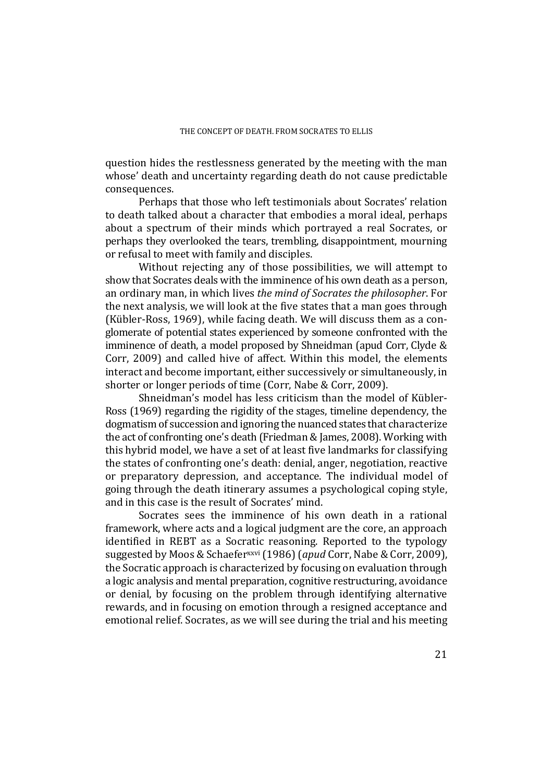question hides the restlessness generated by the meeting with the man whose' death and uncertainty regarding death do not cause predictable consequences.

 Perhaps that those who left testimonials about Socrates' relation to death talked about a character that embodies a moral ideal, perhaps about a spectrum of their minds which portrayed a real Socrates, or perhaps they overlooked the tears, trembling, disappointment, mourning or refusal to meet with family and disciples.

 Without rejecting any of those possibilities, we will attempt to show that Socrates deals with the imminence of his own death as a person, an ordinary man, in which lives *the mind of Socrates the philosopher*. For the next analysis, we will look at the five states that a man goes through (Kübler-Ross, 1969), while facing death. We will discuss them as a conglomerate of potential states experienced by someone confronted with the imminence of death, a model proposed by Shneidman (apud Corr, Clyde & Corr, 2009) and called hive of affect. Within this model, the elements interact and become important, either successively or simultaneously, in shorter or longer periods of time (Corr, Nabe & Corr, 2009).

Shneidman's model has less criticism than the model of Kübler-Ross (1969) regarding the rigidity of the stages, timeline dependency, the dogmatism of succession and ignoring the nuanced states that characterize the act of confronting one's death (Friedman & James, 2008). Working with this hybrid model, we have a set of at least five landmarks for classifying the states of confronting one's death: denial, anger, negotiation, reactive or preparatory depression, and acceptance. The individual model of going through the death itinerary assumes a psychological coping style, and in this case is the result of Socrates' mind.

Socrates sees the imminence of his own death in a rational framework, where acts and a logical judgment are the core, an approach identified in REBT as a Socratic reasoning. Reported to the typology suggested by Moos & Schaeferxxvi (1986) (*apud* Corr, Nabe & Corr, 2009), the Socratic approach is characterized by focusing on evaluation through a logic analysis and mental preparation, cognitive restructuring, avoidance or denial, by focusing on the problem through identifying alternative rewards, and in focusing on emotion through a resigned acceptance and emotional relief. Socrates, as we will see during the trial and his meeting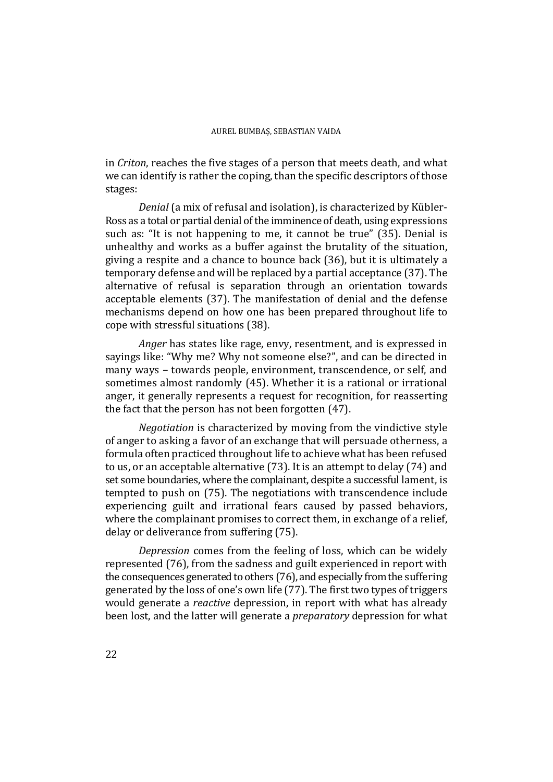in *Criton*, reaches the five stages of a person that meets death, and what we can identify is rather the coping, than the specific descriptors of those stages:

*Denial* (a mix of refusal and isolation), is characterized by Kübler-Ross as a total or partial denial of the imminence of death, using expressions such as: "It is not happening to me, it cannot be true" (35). Denial is unhealthy and works as a buffer against the brutality of the situation, giving a respite and a chance to bounce back (36), but it is ultimately a temporary defense and will be replaced by a partial acceptance (37). The alternative of refusal is separation through an orientation towards acceptable elements (37). The manifestation of denial and the defense mechanisms depend on how one has been prepared throughout life to cope with stressful situations (38).

*Anger* has states like rage, envy, resentment, and is expressed in sayings like: "Why me? Why not someone else?", and can be directed in many ways – towards people, environment, transcendence, or self, and sometimes almost randomly (45). Whether it is a rational or irrational anger, it generally represents a request for recognition, for reasserting the fact that the person has not been forgotten (47).

*Negotiation* is characterized by moving from the vindictive style of anger to asking a favor of an exchange that will persuade otherness, a formula often practiced throughout life to achieve what has been refused to us, or an acceptable alternative (73). It is an attempt to delay (74) and set some boundaries, where the complainant, despite a successful lament, is tempted to push on (75). The negotiations with transcendence include experiencing guilt and irrational fears caused by passed behaviors, where the complainant promises to correct them, in exchange of a relief, delay or deliverance from suffering (75).

*Depression* comes from the feeling of loss, which can be widely represented (76), from the sadness and guilt experienced in report with the consequences generated to others (76), and especially from the suffering generated by the loss of one's own life (77). The first two types of triggers would generate a *reactive* depression, in report with what has already been lost, and the latter will generate a *preparatory* depression for what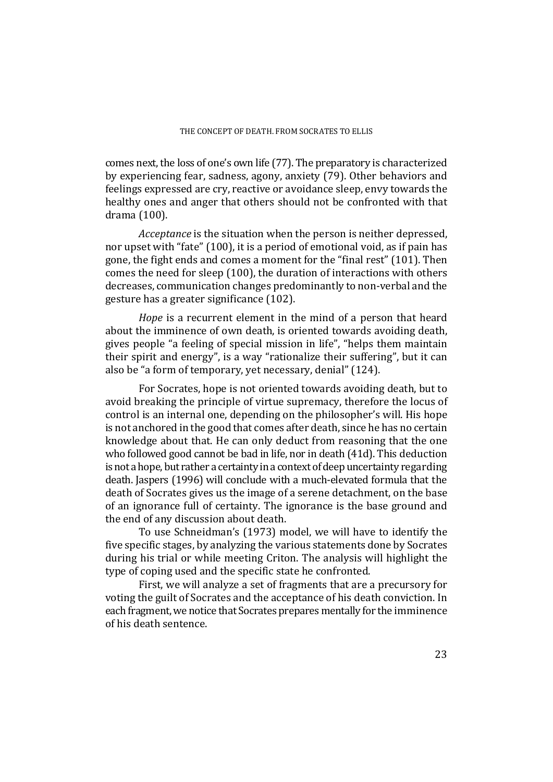comes next, the loss of one's own life (77). The preparatory is characterized by experiencing fear, sadness, agony, anxiety (79). Other behaviors and feelings expressed are cry, reactive or avoidance sleep, envy towards the healthy ones and anger that others should not be confronted with that drama (100).

*Acceptance* is the situation when the person is neither depressed, nor upset with "fate" (100), it is a period of emotional void, as if pain has gone, the fight ends and comes a moment for the "final rest" (101). Then comes the need for sleep (100), the duration of interactions with others decreases, communication changes predominantly to non-verbal and the gesture has a greater significance (102).

*Hope* is a recurrent element in the mind of a person that heard about the imminence of own death, is oriented towards avoiding death, gives people "a feeling of special mission in life", "helps them maintain their spirit and energy", is a way "rationalize their suffering", but it can also be "a form of temporary, yet necessary, denial" (124).

 For Socrates, hope is not oriented towards avoiding death, but to avoid breaking the principle of virtue supremacy, therefore the locus of control is an internal one, depending on the philosopher's will. His hope is not anchored in the good that comes after death, since he has no certain knowledge about that. He can only deduct from reasoning that the one who followed good cannot be bad in life, nor in death (41d). This deduction is not a hope, but rather a certainty in a context of deep uncertainty regarding death. Jaspers (1996) will conclude with a much-elevated formula that the death of Socrates gives us the image of a serene detachment, on the base of an ignorance full of certainty. The ignorance is the base ground and the end of any discussion about death.

 To use Schneidman's (1973) model, we will have to identify the five specific stages, by analyzing the various statements done by Socrates during his trial or while meeting Criton. The analysis will highlight the type of coping used and the specific state he confronted.

 First, we will analyze a set of fragments that are a precursory for voting the guilt of Socrates and the acceptance of his death conviction. In each fragment, we notice that Socrates prepares mentally for the imminence of his death sentence.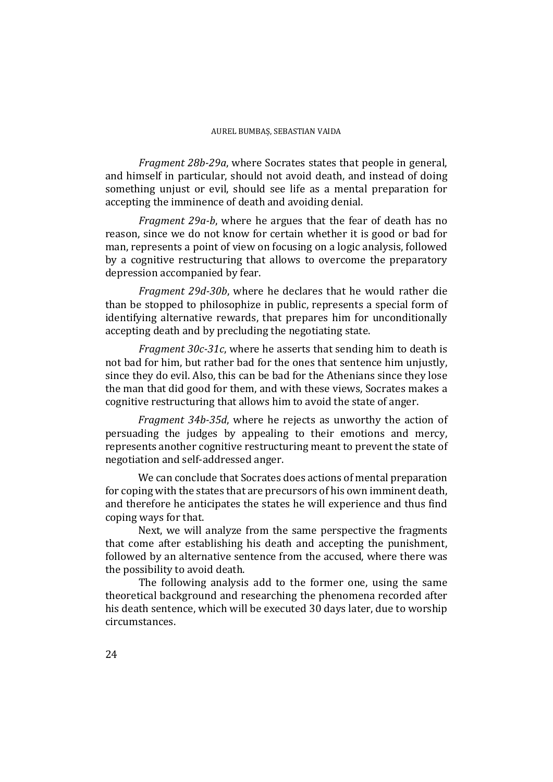#### AUREL BUMBAȘ, SEBASTIAN VAIDA

*Fragment 28b-29a*, where Socrates states that people in general, and himself in particular, should not avoid death, and instead of doing something unjust or evil, should see life as a mental preparation for accepting the imminence of death and avoiding denial.

*Fragment 29a-b*, where he argues that the fear of death has no reason, since we do not know for certain whether it is good or bad for man, represents a point of view on focusing on a logic analysis, followed by a cognitive restructuring that allows to overcome the preparatory depression accompanied by fear.

*Fragment 29d-30b*, where he declares that he would rather die than be stopped to philosophize in public, represents a special form of identifying alternative rewards, that prepares him for unconditionally accepting death and by precluding the negotiating state.

*Fragment 30c-31c*, where he asserts that sending him to death is not bad for him, but rather bad for the ones that sentence him unjustly, since they do evil. Also, this can be bad for the Athenians since they lose the man that did good for them, and with these views, Socrates makes a cognitive restructuring that allows him to avoid the state of anger.

*Fragment 34b-35d*, where he rejects as unworthy the action of persuading the judges by appealing to their emotions and mercy, represents another cognitive restructuring meant to prevent the state of negotiation and self-addressed anger.

We can conclude that Socrates does actions of mental preparation for coping with the states that are precursors of his own imminent death, and therefore he anticipates the states he will experience and thus find coping ways for that.

Next, we will analyze from the same perspective the fragments that come after establishing his death and accepting the punishment, followed by an alternative sentence from the accused, where there was the possibility to avoid death.

 The following analysis add to the former one, using the same theoretical background and researching the phenomena recorded after his death sentence, which will be executed 30 days later, due to worship circumstances.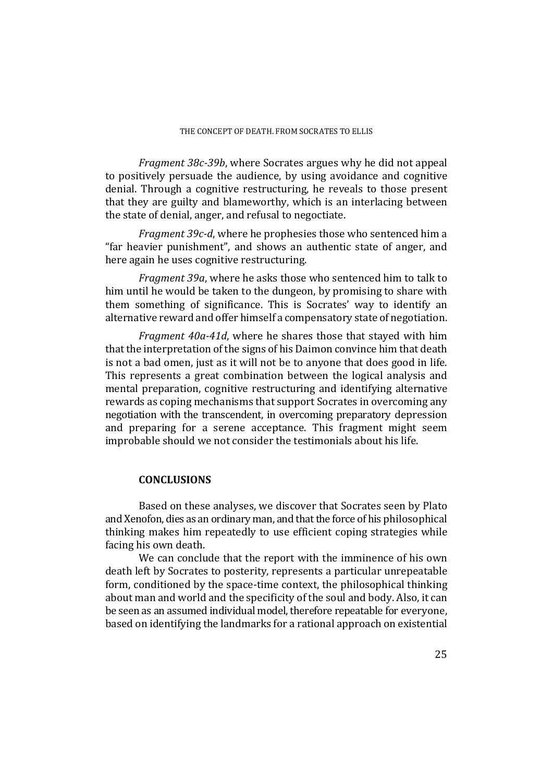#### THE CONCEPT OF DEATH. FROM SOCRATES TO ELLIS

*Fragment 38c-39b*, where Socrates argues why he did not appeal to positively persuade the audience, by using avoidance and cognitive denial. Through a cognitive restructuring, he reveals to those present that they are guilty and blameworthy, which is an interlacing between the state of denial, anger, and refusal to negoctiate.

*Fragment 39c-d*, where he prophesies those who sentenced him a "far heavier punishment", and shows an authentic state of anger, and here again he uses cognitive restructuring.

*Fragment 39a*, where he asks those who sentenced him to talk to him until he would be taken to the dungeon, by promising to share with them something of significance. This is Socrates' way to identify an alternative reward and offer himself a compensatory state of negotiation.

*Fragment 40a-41d*, where he shares those that stayed with him that the interpretation of the signs of his Daimon convince him that death is not a bad omen, just as it will not be to anyone that does good in life. This represents a great combination between the logical analysis and mental preparation, cognitive restructuring and identifying alternative rewards as coping mechanisms that support Socrates in overcoming any negotiation with the transcendent, in overcoming preparatory depression and preparing for a serene acceptance. This fragment might seem improbable should we not consider the testimonials about his life.

## **CONCLUSIONS**

 Based on these analyses, we discover that Socrates seen by Plato and Xenofon, dies as an ordinary man, and that the force of his philosophical thinking makes him repeatedly to use efficient coping strategies while facing his own death.

 We can conclude that the report with the imminence of his own death left by Socrates to posterity, represents a particular unrepeatable form, conditioned by the space-time context, the philosophical thinking about man and world and the specificity of the soul and body. Also, it can be seen as an assumed individual model, therefore repeatable for everyone, based on identifying the landmarks for a rational approach on existential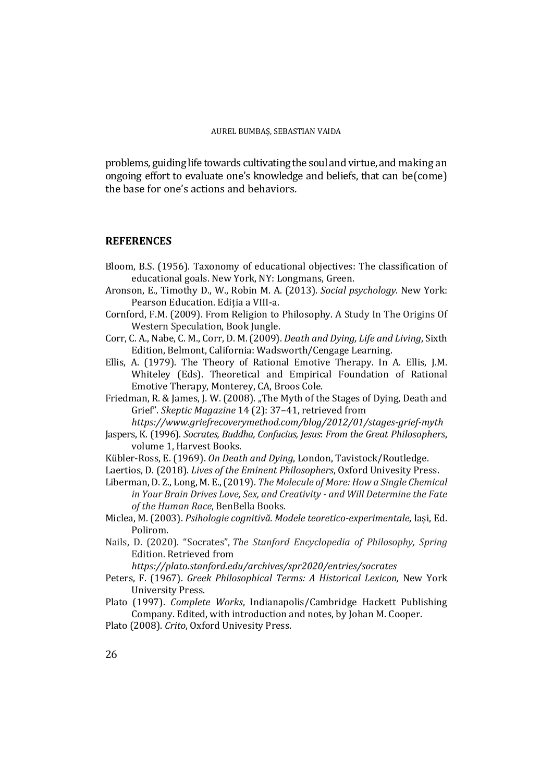problems, guiding life towards cultivating the soul and virtue, and making an ongoing effort to evaluate one's knowledge and beliefs, that can be(come) the base for one's actions and behaviors.

## **REFERENCES**

- Bloom, B.S. (1956). Taxonomy of educational objectives: The classification of educational goals. New York, NY: Longmans, Green.
- Aronson, E., Timothy D., W., Robin M. A. (2013). *Social psychology.* New York: Pearson Education. Ediția a VIII-a.
- Cornford, F.M. (2009). From Religion to Philosophy. A Study In The Origins Of Western Speculation, Book Jungle.
- Corr, C. A., Nabe, C. M., Corr, D. M. (2009). *Death and Dying, Life and Living*, Sixth Edition, Belmont, California: Wadsworth/Cengage Learning.
- Ellis, A. (1979). The Theory of Rational Emotive Therapy. In A. Ellis, J.M. Whiteley (Eds). Theoretical and Empirical Foundation of Rational Emotive Therapy, Monterey, CA, Broos Cole.
- Friedman, R. & James, J. W. (2008). "The Myth of the Stages of Dying, Death and Grief". *Skeptic Magazine* 14 (2): 37–41, retrieved from  *https://www.griefrecoverymethod.com/blog/2012/01/stages-grief-myth*
- Jaspers, K. (1996). *Socrates, Buddha, Confucius, Jesus*: *From the Great Philosophers*, volume 1, Harvest Books.
- Kübler-Ross, E. (1969). *On Death and Dying*, London, Tavistock/Routledge.
- Laertios, D. (2018). *Lives of the Eminent Philosophers*, Oxford Univesity Press.
- Liberman, D. Z., Long, M. E., (2019). *The Molecule of More: How a Single Chemical in Your Brain Drives Love, Sex, and Creativity - and Will Determine the Fate of the Human Race*, BenBella Books.
- Miclea, M. (2003). *Psihologie cognitivă. Modele teoretico-experimentale*, Iași, Ed. Polirom.
- Nails, D. (2020). "Socrates", *The Stanford Encyclopedia of Philosophy, Spring* Edition. Retrieved from

 *https://plato.stanford.edu/archives/spr2020/entries/socrates* 

- Peters, F. (1967). *Greek Philosophical Terms: A Historical Lexicon,* New York University Press.
- Plato (1997). *Complete Works*, Indianapolis/Cambridge Hackett Publishing Company. Edited, with introduction and notes, by Johan M. Cooper.
- Plato (2008). *Crito*, Oxford Univesity Press.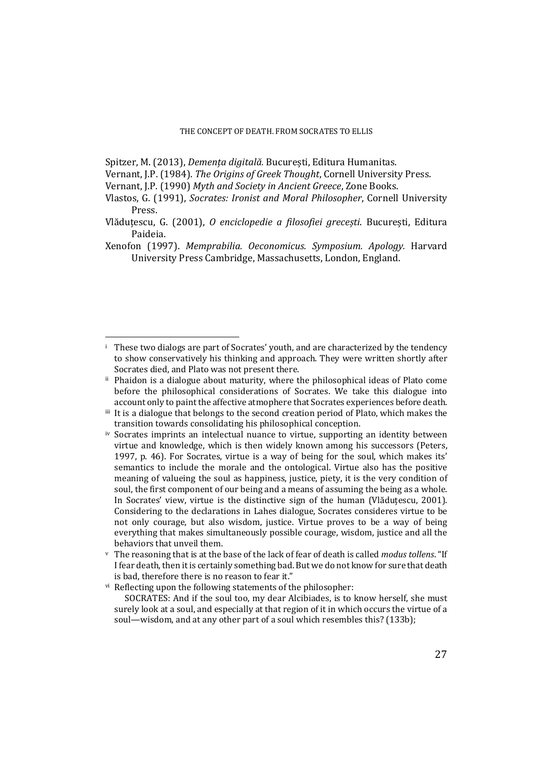#### THE CONCEPT OF DEATH. FROM SOCRATES TO ELLIS

Spitzer, M. (2013), *Demența digitală.* București, Editura Humanitas.

Vernant, J.P. (1984). *The Origins of Greek Thought*, Cornell University Press.

- Vernant, J.P. (1990) *Myth and Society in Ancient Greece*, Zone Books.
- Vlastos, G. (1991), *Socrates: Ironist and Moral Philosopher*, Cornell University Press.
- Vlăduțescu, G. (2001), *O enciclopedie a filosofiei grecești*. București, Editura Paideia.
- Xenofon (1997). *Memprabilia. Oeconomicus. Symposium. Apology.* Harvard University Press Cambridge, Massachusetts, London, England.

I fear death, then it is certainly something bad. But we do not know for sure that death is bad, therefore there is no reason to fear it."<br><sup>vi</sup> Reflecting upon the following statements of the philosopher:

 $\overline{a}$ 

<sup>&</sup>lt;sup>i</sup> These two dialogs are part of Socrates' youth, and are characterized by the tendency to show conservatively his thinking and approach. They were written shortly after Socrates died, and Plato was not present there.<br>ii Phaidon is a dialogue about maturity, where the philosophical ideas of Plato come

before the philosophical considerations of Socrates. We take this dialogue into account only to paint the affective atmophere that Socrates experiences before death.<br>Iii It is a dialogue that belongs to the second creation period of Plato, which makes the

transition towards consolidating his philosophical conception. iv Socrates imprints an intelectual nuance to virtue, supporting an identity between

virtue and knowledge, which is then widely known among his successors (Peters, 1997, p. 46). For Socrates, virtue is a way of being for the soul, which makes its' semantics to include the morale and the ontological. Virtue also has the positive meaning of valueing the soul as happiness, justice, piety, it is the very condition of soul, the first component of our being and a means of assuming the being as a whole. In Socrates' view, virtue is the distinctive sign of the human (Vlăduțescu, 2001). Considering to the declarations in Lahes dialogue, Socrates consideres virtue to be not only courage, but also wisdom, justice. Virtue proves to be a way of being everything that makes simultaneously possible courage, wisdom, justice and all the behaviors that unveil them.<br>v The reasoning that is at the base of the lack of fear of death is called *modus tollens*. "If

SOCRATES: And if the soul too, my dear Alcibiades, is to know herself, she must surely look at a soul, and especially at that region of it in which occurs the virtue of a soul—wisdom, and at any other part of a soul which resembles this? (133b);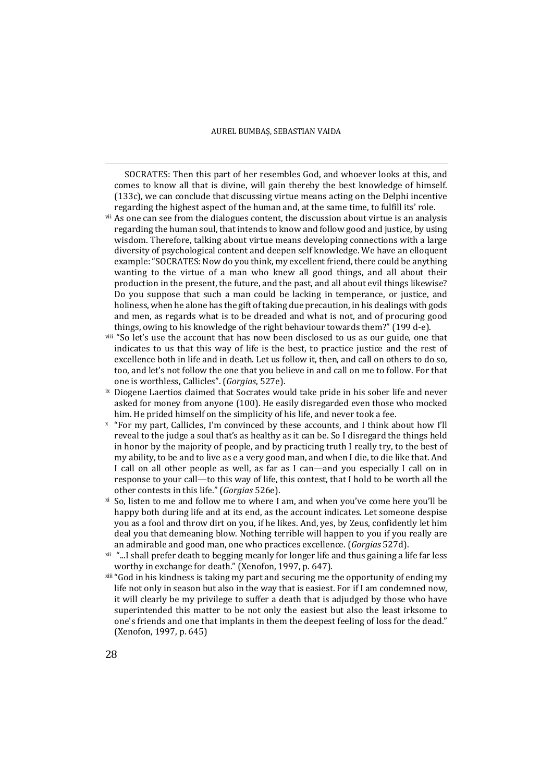SOCRATES: Then this part of her resembles God, and whoever looks at this, and comes to know all that is divine, will gain thereby the best knowledge of himself. (133c), we can conclude that discussing virtue means acting on the Delphi incentive regarding the highest aspect of the human and, at the same time, to fulfill its' role.<br>vii As one can see from the dialogues content, the discussion about virtue is an analysis

- regarding the human soul, that intends to know and follow good and justice, by using wisdom. Therefore, talking about virtue means developing connections with a large diversity of psychological content and deepen self knowledge. We have an elloquent example: "SOCRATES: Now do you think, my excellent friend, there could be anything wanting to the virtue of a man who knew all good things, and all about their production in the present, the future, and the past, and all about evil things likewise? Do you suppose that such a man could be lacking in temperance, or justice, and holiness, when he alone has the gift of taking due precaution, in his dealings with gods and men, as regards what is to be dreaded and what is not, and of procuring good things, owing to his knowledge of the right behaviour towards them?" (199 d-e).<br>viii "So let's use the account that has now been disclosed to us as our guide, one that
- indicates to us that this way of life is the best, to practice justice and the rest of excellence both in life and in death. Let us follow it, then, and call on others to do so, too, and let's not follow the one that you believe in and call on me to follow. For that one is worthless, Callicles". (*Gorgias*, 527e). ix Diogene Laertios claimed that Socrates would take pride in his sober life and never
- asked for money from anyone (100). He easily disregarded even those who mocked him. He prided himself on the simplicity of his life, and never took a fee.<br>x "For my part, Callicles, I'm convinced by these accounts, and I think about how I'll
- reveal to the judge a soul that's as healthy as it can be. So I disregard the things held in honor by the majority of people, and by practicing truth I really try, to the best of my ability, to be and to live as e a very good man, and when I die, to die like that. And I call on all other people as well, as far as I can—and you especially I call on in response to your call—to this way of life, this contest, that I hold to be worth all the other contests in this life." (*Gorgias* 526e). xi So, listen to me and follow me to where I am, and when you've come here you'll be
- happy both during life and at its end, as the account indicates. Let someone despise you as a fool and throw dirt on you, if he likes. And, yes, by Zeus, confidently let him deal you that demeaning blow. Nothing terrible will happen to you if you really are an admirable and good man, one who practices excellence. (*Gorgias* 527d). xii "...I shall prefer death to begging meanly for longer life and thus gaining a life far less
- worthy in exchange for death." (Xenofon, 1997, p. 647).<br><sup>xiii</sup> "God in his kindness is taking my part and securing me the opportunity of ending my
- life not only in season but also in the way that is easiest. For if I am condemned now, it will clearly be my privilege to suffer a death that is adjudged by those who have superintended this matter to be not only the easiest but also the least irksome to one's friends and one that implants in them the deepest feeling of loss for the dead." (Xenofon, 1997, p. 645)

 $\overline{a}$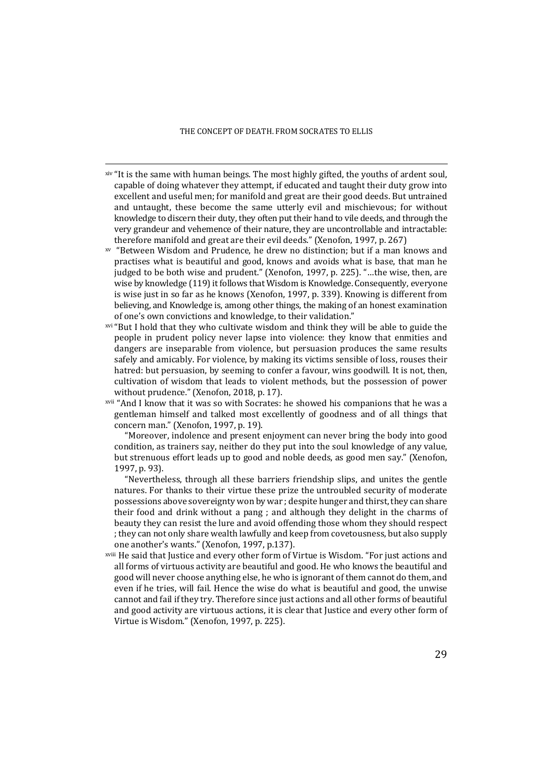- xiv "It is the same with human beings. The most highly gifted, the youths of ardent soul, capable of doing whatever they attempt, if educated and taught their duty grow into excellent and useful men; for manifold and great are their good deeds. But untrained and untaught, these become the same utterly evil and mischievous; for without knowledge to discern their duty, they often put their hand to vile deeds, and through the very grandeur and vehemence of their nature, they are uncontrollable and intractable: therefore manifold and great are their evil deeds." (Xenofon, 1997, p. 267) <br>xv "Between Wisdom and Prudence, he drew no distinction; but if a man knows and
- practises what is beautiful and good, knows and avoids what is base, that man he judged to be both wise and prudent." (Xenofon, 1997, p. 225). "…the wise, then, are wise by knowledge (119) it follows that Wisdom is Knowledge. Consequently, everyone is wise just in so far as he knows (Xenofon, 1997, p. 339). Knowing is different from believing, and Knowledge is, among other things, the making of an honest examination of one's own convictions and knowledge, to their validation." xvi"But I hold that they who cultivate wisdom and think they will be able to guide the
- people in prudent policy never lapse into violence: they know that enmities and dangers are inseparable from violence, but persuasion produces the same results safely and amicably. For violence, by making its victims sensible of loss, rouses their hatred: but persuasion, by seeming to confer a favour, wins goodwill. It is not, then, cultivation of wisdom that leads to violent methods, but the possession of power without prudence." (Xenofon, 2018, p. 17).<br>xvii "And I know that it was so with Socrates: he showed his companions that he was a
- gentleman himself and talked most excellently of goodness and of all things that concern man." (Xenofon, 1997, p. 19).

"Moreover, indolence and present enjoyment can never bring the body into good condition, as trainers say, neither do they put into the soul knowledge of any value, but strenuous effort leads up to good and noble deeds, as good men say." (Xenofon, 1997, p. 93).

"Nevertheless, through all these barriers friendship slips, and unites the gentle natures. For thanks to their virtue these prize the untroubled security of moderate possessions above sovereignty won by war ; despite hunger and thirst, they can share their food and drink without a pang ; and although they delight in the charms of beauty they can resist the lure and avoid offending those whom they should respect ; they can not only share wealth lawfully and keep from covetousness, but also supply one another's wants." (Xenofon, 1997, p.137). xviii He said that Justice and every other form of Virtue is Wisdom. "For just actions and

all forms of virtuous activity are beautiful and good. He who knows the beautiful and good will never choose anything else, he who is ignorant of them cannot do them, and even if he tries, will fail. Hence the wise do what is beautiful and good, the unwise cannot and fail if they try. Therefore since just actions and all other forms of beautiful and good activity are virtuous actions, it is clear that Justice and every other form of Virtue is Wisdom." (Xenofon, 1997, p. 225).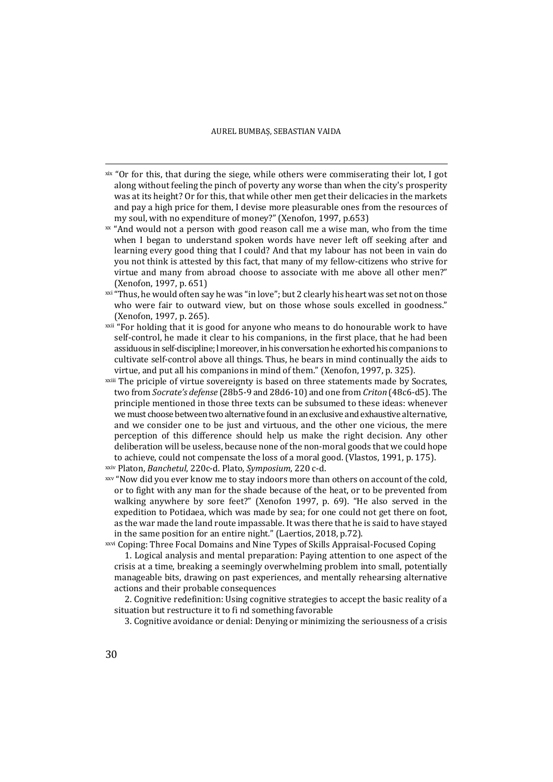- xix "Or for this, that during the siege, while others were commiserating their lot, I got along without feeling the pinch of poverty any worse than when the city's prosperity was at its height? Or for this, that while other men get their delicacies in the markets and pay a high price for them, I devise more pleasurable ones from the resources of my soul, with no expenditure of money?" (Xenofon, 1997, p.653)<br>xx "And would not a person with good reason call me a wise man, who from the time
- when I began to understand spoken words have never left off seeking after and learning every good thing that I could? And that my labour has not been in vain do you not think is attested by this fact, that many of my fellow-citizens who strive for virtue and many from abroad choose to associate with me above all other men?"
- (Xenofon, 1997, p. 651)<br>xxi "Thus, he would often say he was "in love"; but 2 clearly his heart was set not on those who were fair to outward view, but on those whose souls excelled in goodness." (Xenofon, 1997, p. 265).<br>xxii "For holding that it is good for anyone who means to do honourable work to have
- self-control, he made it clear to his companions, in the first place, that he had been assiduous in self-discipline; l moreover, in his conversation he exhorted his companions to cultivate self-control above all things. Thus, he bears in mind continually the aids to virtue, and put all his companions in mind of them." (Xenofon, 1997, p. 325). xxiii The priciple of virtue sovereignty is based on three statements made by Socrates,
- two from *Socrate's defense* (28b5-9 and 28d6-10) and one from *Criton* (48c6-d5). The principle mentioned in those three texts can be subsumed to these ideas: whenever we must choose between two alternative found in an exclusive and exhaustive alternative, and we consider one to be just and virtuous, and the other one vicious, the mere perception of this difference should help us make the right decision. Any other deliberation will be useless, because none of the non-moral goods that we could hope to achieve, could not compensate the loss of a moral good. (Vlastos, 1991, p. 175).<br>
xxiv Platon, *Banchetul*, 220c-d. Plato, *Symposium*, 220 c-d.<br>
xxv "Now did you ever know me to stay indoors more than others on account
- 
- or to fight with any man for the shade because of the heat, or to be prevented from walking anywhere by sore feet?" (Xenofon 1997, p. 69). "He also served in the expedition to Potidaea, which was made by sea; for one could not get there on foot, as the war made the land route impassable. It was there that he is said to have stayed in the same position for an entire night." (Laertios, 2018, p.72).<br>xxvi Coping: Three Focal Domains and Nine Types of Skills Appraisal-Focused Coping
- - 1. Logical analysis and mental preparation: Paying attention to one aspect of the crisis at a time, breaking a seemingly overwhelming problem into small, potentially manageable bits, drawing on past experiences, and mentally rehearsing alternative actions and their probable consequences

2. Cognitive redefinition: Using cognitive strategies to accept the basic reality of a situation but restructure it to fi nd something favorable

3. Cognitive avoidance or denial: Denying or minimizing the seriousness of a crisis